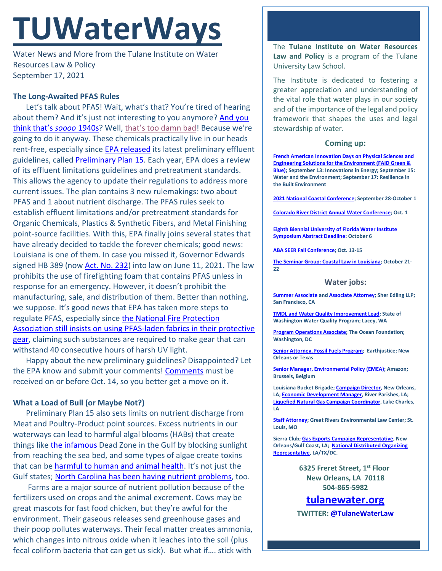# **TUWaterWays**

Water News and More from the Tulane Institute on Water Resources Law & Policy September 17, 2021

## **The Long-Awaited PFAS Rules**

Let's talk about PFAS! Wait, what's that? You're tired of hearing about them? And it's just not interesting to you anymore? And you [think that's](https://pfas-1.itrcweb.org/fact_sheets_page/PFAS_Fact_Sheet_History_and_Use_April2020.pdf) *soooo* 1940s? Well, [that's too damn bad!](https://www.youtube.com/watch?v=YX2IQG4wTCE) Because we're going to do it anyway. These chemicals practically live in our heads rent-free, especially since **EPA released** its latest preliminary effluent guidelines, called [Preliminary Plan 15.](https://www.epa.gov/system/files/documents/2021-09/ow-prelim-elg-plan-15_508.pdf) Each year, EPA does a review of its effluent limitations guidelines and pretreatment standards. This allows the agency to update their regulations to address more current issues. The plan contains 3 new rulemakings: two about PFAS and 1 about nutrient discharge. The PFAS rules seek to establish effluent limitations and/or pretreatment standards for Organic Chemicals, Plastics & Synthetic Fibers, and Metal Finishing point-source facilities. With this, EPA finally joins several states that have already decided to tackle the forever chemicals; good news: Louisiana is one of them. In case you missed it, Governor Edwards signed HB 389 (no[w Act. No. 232\)](https://legis.la.gov/legis/ViewDocument.aspx?d=1235313) into law on June 11, 2021. The law prohibits the use of firefighting foam that contains PFAS unless in response for an emergency. However, it doesn't prohibit the manufacturing, sale, and distribution of them. Better than nothing, we suppose. It's good news that EPA has taken more steps to regulate PFAS, especially since [the National Fire Protection](https://subscriber.politicopro.com/article/eenews/2021/09/13/firefighters-lose-bid-for-pfas-free-gear-280500)  [Association still insists on using PFAS-laden fabrics in their protective](https://subscriber.politicopro.com/article/eenews/2021/09/13/firefighters-lose-bid-for-pfas-free-gear-280500)  [gear,](https://subscriber.politicopro.com/article/eenews/2021/09/13/firefighters-lose-bid-for-pfas-free-gear-280500) claiming such substances are required to make gear that can withstand 40 consecutive hours of harsh UV light.

Happy about the new preliminary guidelines? Disappointed? Let the EPA know and submit your comments! [Comments](https://www.federalregister.gov/documents/2021/09/14/2021-19787/preliminary-effluent-guidelines-program-plan-15) must be received on or before Oct. 14, so you better get a move on it.

## **What a Load of Bull (or Maybe Not?)**

Preliminary Plan 15 also sets limits on nutrient discharge from Meat and Poultry-Product point sources. Excess nutrients in our waterways can lead to harmful algal blooms (HABs) that create things like [the](https://www.youtube.com/watch?v=q38WVCP_Zk8) [infamous](https://www.youtube.com/watch?v=GIGtHhAfe8w) Dead Zone in the Gulf by blocking sunlight from reaching the sea bed, and some types of algae create toxins that can b[e harmful to human and animal](https://www.wdsu.com/article/massachusetts-zoo-red-river-hog-piglet/37603470) health. It's not just the Gulf states; [North Carolina has been having nutrient problems,](https://coastalreview.org/2021/09/something-is-causing-more-algal-blooms-in-more-places/) too.

Farms are a major source of nutrient pollution because of the fertilizers used on crops and the animal excrement. Cows may be great mascots for fast food chicken, but they're awful for the environment. Their gaseous releases send greenhouse gases and their poop pollutes waterways. Their fecal matter creates ammonia, which changes into nitrous oxide when it leaches into the soil (plus fecal coliform bacteria that can get us sick). But what if…. stick with

The **Tulane Institute on Water Resources Law and Policy** is a program of the Tulane University Law School.

The Institute is dedicated to fostering a greater appreciation and understanding of the vital role that water plays in our society and of the importance of the legal and policy framework that shapes the uses and legal stewardship of water.

#### **Coming up:**

**[French American Innovation Days on Physical Sciences and](https://faid-houston.france-science.org/)  [Engineering Solutions for the Environment \(FAID Green &](https://faid-houston.france-science.org/)  [Blue\);](https://faid-houston.france-science.org/) September 13: Innovations in Energy; September 15: Water and the Environment; September 17: Resilience in the Built Environment** 

**[2021 National Coastal Conference;](https://asbpa.org/conferences/) September 28-October 1** 

**[Colorado River District Annual Water Conference;](https://form.jotform.com/212357260130039) Oct. 1**

**[Eighth Biennial University of Florida Water Institute](https://conference.ifas.ufl.edu/waterinstitute/call-abstracts.html)  [Symposium Abstract Deadline:](https://conference.ifas.ufl.edu/waterinstitute/call-abstracts.html) October 6**

**[ABA SEER Fall Conference;](https://web.cvent.com/event/4e55fac0-9383-432c-a10f-56d1b6fd3eb9/summary) Oct. 13-15**

**[The Seminar Group: Coastal Law in Louisiana;](https://www.theseminargroup.net/seminardetl.aspx?id=6027) October 21- 22**

#### **Water jobs:**

**[Summer Associate](https://sheredling.bamboohr.com/jobs/view.php?id=27) an[d Associate Attorney;](https://sheredling.bamboohr.com/jobs/view.php?id=22&source=other) Sher Edling LLP; San Francisco, CA**

**[TMDL and Water Quality Improvement Lead;](https://www.governmentjobs.com/careers/washington/jobs/3167604/tmdl-and-water-quality-improvement-lead-environmental-specialist-4) State of Washington Water Quality Program; Lacey, WA**

**[Program Operations Associate;](https://tof.bamboohr.com/jobs/view.php?id=29) The Ocean Foundation; Washington, DC**

**[Senior Attorney, Fossil Fuels Program;](https://earthjustice.org/about/jobs/40606/senior-attorney-fossil-fuels-program) Earthjustice; New Orleans or Texas**

**[Senior Manager, Environmental Policy \(EMEA\);](https://amazon.jobs/en/jobs/1586735/senior-manager-environmental-policy-emea) Amazon; Brussels, Belgium**

**Louisiana Bucket Brigade[; Campaign Director,](https://labucketbrigade.org/now-hiring-campaign-director/) New Orleans, LA[; Economic Development Manager,](https://labucketbrigade.org/now-hiring-economic-development-manager/) River Parishes, LA; [Liquefied Natural Gas Campaign Coordinator,](https://labucketbrigade.org/now-hiring-liquefied-natural-gas-campaign-coordinator/) Lake Charles, LA**

**[Staff Attorney;](https://greatriverslaw.org/job-openings/) Great Rivers Environmental Law Center; St. Louis, MO**

**Sierra Club[; Gas Exports Campaign Representative,](https://phf.tbe.taleo.net/phf01/ats/careers/v2/viewRequisition?org=SIERRACLUB&cws=42&rid=1797) New Orleans/Gulf Coast, LA; [National Distributed Organizing](https://phf.tbe.taleo.net/phf01/ats/careers/v2/viewRequisition?org=SIERRACLUB&cws=39&rid=1790)  [Representative,](https://phf.tbe.taleo.net/phf01/ats/careers/v2/viewRequisition?org=SIERRACLUB&cws=39&rid=1790) LA/TX/DC.**

> **6325 Freret Street, 1st Floor New Orleans, LA 70118 504-865-5982**

**tulanewater.org TWITTER: [@TulaneWaterLaw](http://www.twitter.com/TulaneWaterLaw)**